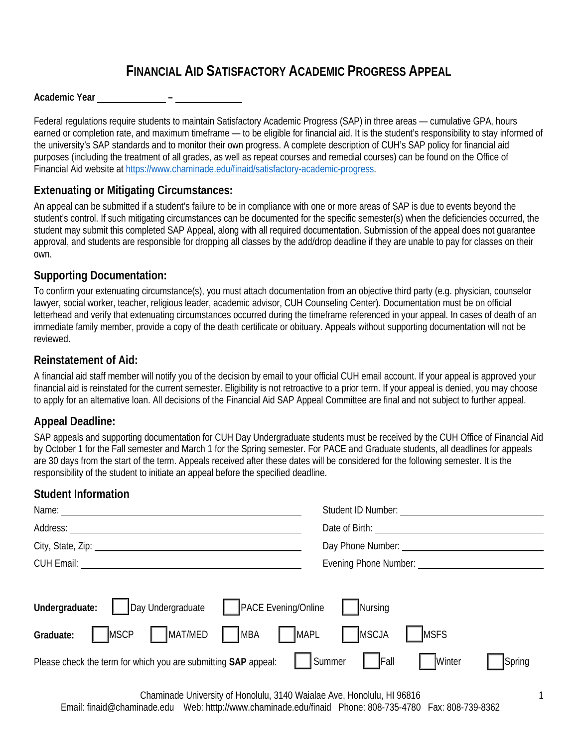# **FINANCIAL AID SATISFACTORY ACADEMIC PROGRESS APPEAL**

#### **Academic Year –**

Federal regulations require students to maintain Satisfactory Academic Progress (SAP) in three areas — cumulative GPA, hours earned or completion rate, and maximum timeframe — to be eligible for financial aid. It is the student's responsibility to stay informed of the university's SAP standards and to monitor their own progress. A complete description of CUH's SAP policy for financial aid purposes (including the treatment of all grades, as well as repeat courses and remedial courses) can be found on the Office of Financial Aid website at [https://www.chaminade.edu/finaid/satisfactory-academic-progress.](https://www.chaminade.edu/finaid/satisfactory-academic-progress)

### **Extenuating or Mitigating Circumstances:**

An appeal can be submitted if a student's failure to be in compliance with one or more areas of SAP is due to events beyond the student's control. If such mitigating circumstances can be documented for the specific semester(s) when the deficiencies occurred, the student may submit this completed SAP Appeal, along with all required documentation. Submission of the appeal does not guarantee approval, and students are responsible for dropping all classes by the add/drop deadline if they are unable to pay for classes on their own.

#### **Supporting Documentation:**

To confirm your extenuating circumstance(s), you must attach documentation from an objective third party (e.g. physician, counselor lawyer, social worker, teacher, religious leader, academic advisor, CUH Counseling Center). Documentation must be on official letterhead and verify that extenuating circumstances occurred during the timeframe referenced in your appeal. In cases of death of an immediate family member, provide a copy of the death certificate or obituary. Appeals without supporting documentation will not be reviewed.

#### **Reinstatement of Aid:**

A financial aid staff member will notify you of the decision by email to your official CUH email account. If your appeal is approved your financial aid is reinstated for the current semester. Eligibility is not retroactive to a prior term. If your appeal is denied, you may choose to apply for an alternative loan. All decisions of the Financial Aid SAP Appeal Committee are final and not subject to further appeal.

## **Appeal Deadline:**

SAP appeals and supporting documentation for CUH Day Undergraduate students must be received by the CUH Office of Financial Aid by October 1 for the Fall semester and March 1 for the Spring semester. For PACE and Graduate students, all deadlines for appeals are 30 days from the start of the term. Appeals received after these dates will be considered for the following semester. It is the responsibility of the student to initiate an appeal before the specified deadline.

## **Student Information**

|                                                                               | Student ID Number:                 |
|-------------------------------------------------------------------------------|------------------------------------|
| Address:                                                                      | Date of Birth:                     |
| City, State, Zip: 2008                                                        |                                    |
| <b>CUH Email:</b> CUH Email:<br>Evening Phone Number: _______________________ |                                    |
|                                                                               |                                    |
| PACE Evening/Online<br>Day Undergraduate<br>Undergraduate:                    | Nursing                            |
| MAT/MED<br><b>MAPL</b><br><b>MSCP</b><br><b>MBA</b><br>Graduate:              | MSCJA<br><b>MSFS</b>               |
| Please check the term for which you are submitting SAP appeal:                | Fall<br>Summer<br>Winter<br>Spring |